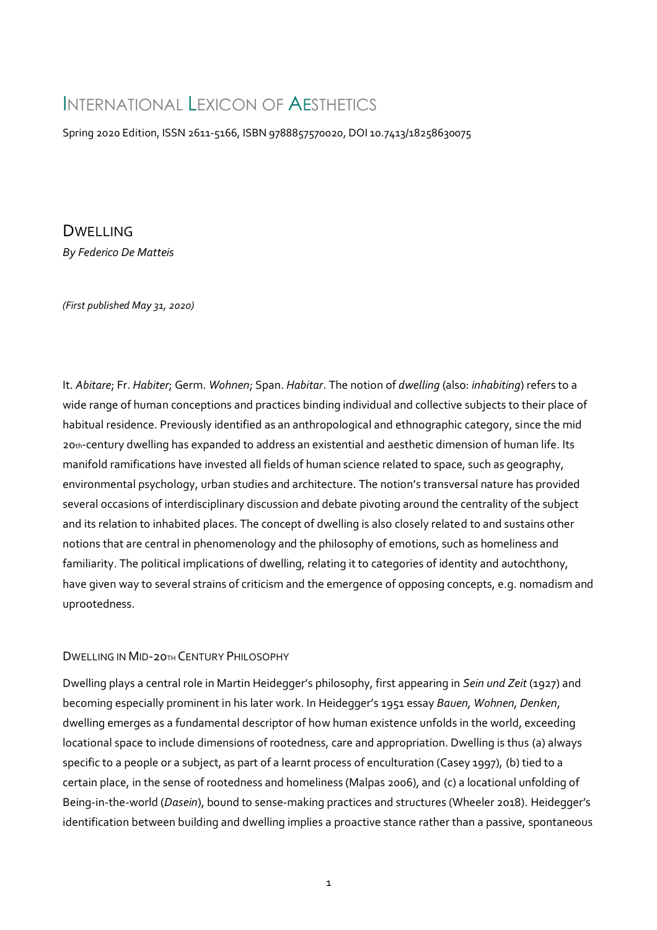# INTERNATIONAL LEXICON OF AFSTHETICS

Spring 2020 Edition, ISSN 2611-5166, ISBN 9788857570020, DOI 10.7413/18258630075

**DWELLING** *By Federico De Matteis*

*(First published May 31, 2020)*

It. *Abitare*; Fr. *Habiter*; Germ. *Wohnen*; Span. *Habitar*. The notion of *dwelling* (also: *inhabiting*) refers to a wide range of human conceptions and practices binding individual and collective subjects to their place of habitual residence. Previously identified as an anthropological and ethnographic category, since the mid 20th-century dwelling has expanded to address an existential and aesthetic dimension of human life. Its manifold ramifications have invested all fields of human science related to space, such as geography, environmental psychology, urban studies and architecture. The notion's transversal nature has provided several occasions of interdisciplinary discussion and debate pivoting around the centrality of the subject and its relation to inhabited places. The concept of dwelling is also closely related to and sustains other notions that are central in phenomenology and the philosophy of emotions, such as homeliness and familiarity. The political implications of dwelling, relating it to categories of identity and autochthony, have given way to several strains of criticism and the emergence of opposing concepts, e.g. nomadism and uprootedness.

#### DWELLING IN MID-20TH CENTURY PHILOSOPHY

Dwelling plays a central role in Martin Heidegger's philosophy, first appearing in *Sein und Zeit* (1927) and becoming especially prominent in his later work. In Heidegger's 1951 essay *Bauen, Wohnen, Denken*, dwelling emerges as a fundamental descriptor of how human existence unfolds in the world, exceeding locational space to include dimensions of rootedness, care and appropriation. Dwelling is thus (a) always specific to a people or a subject, as part of a learnt process of enculturation (Casey 1997), (b) tied to a certain place, in the sense of rootedness and homeliness (Malpas 2006), and (c) a locational unfolding of Being-in-the-world (*Dasein*), bound to sense-making practices and structures (Wheeler 2018). Heidegger's identification between building and dwelling implies a proactive stance rather than a passive, spontaneous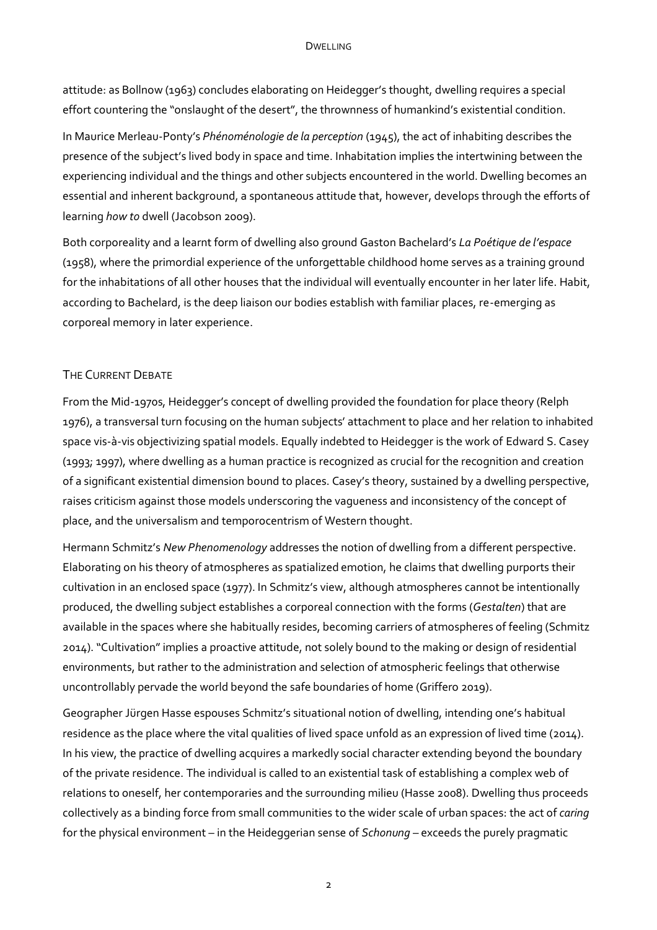attitude: as Bollnow (1963) concludes elaborating on Heidegger's thought, dwelling requires a special effort countering the "onslaught of the desert", the thrownness of humankind's existential condition.

In Maurice Merleau-Ponty's *Phénoménologie de la perception* (1945), the act of inhabiting describes the presence of the subject's lived body in space and time. Inhabitation implies the intertwining between the experiencing individual and the things and other subjects encountered in the world. Dwelling becomes an essential and inherent background, a spontaneous attitude that, however, develops through the efforts of learning *how to* dwell (Jacobson 2009).

Both corporeality and a learnt form of dwelling also ground Gaston Bachelard's *La Poétique de l'espace* (1958), where the primordial experience of the unforgettable childhood home serves as a training ground for the inhabitations of all other houses that the individual will eventually encounter in her later life. Habit, according to Bachelard, is the deep liaison our bodies establish with familiar places, re-emerging as corporeal memory in later experience.

# THE CURRENT DEBATE

From the Mid-1970s, Heidegger's concept of dwelling provided the foundation for place theory (Relph 1976), a transversal turn focusing on the human subjects' attachment to place and her relation to inhabited space vis-à-vis objectivizing spatial models. Equally indebted to Heidegger is the work of Edward S. Casey (1993; 1997), where dwelling as a human practice is recognized as crucial for the recognition and creation of a significant existential dimension bound to places. Casey's theory, sustained by a dwelling perspective, raises criticism against those models underscoring the vagueness and inconsistency of the concept of place, and the universalism and temporocentrism of Western thought.

Hermann Schmitz's *New Phenomenology* addresses the notion of dwelling from a different perspective. Elaborating on his theory of atmospheres as spatialized emotion, he claims that dwelling purports their cultivation in an enclosed space (1977). In Schmitz's view, although atmospheres cannot be intentionally produced, the dwelling subject establishes a corporeal connection with the forms (*Gestalten*) that are available in the spaces where she habitually resides, becoming carriers of atmospheres of feeling (Schmitz 2014). "Cultivation" implies a proactive attitude, not solely bound to the making or design of residential environments, but rather to the administration and selection of atmospheric feelings that otherwise uncontrollably pervade the world beyond the safe boundaries of home (Griffero 2019).

Geographer Jürgen Hasse espouses Schmitz's situational notion of dwelling, intending one's habitual residence as the place where the vital qualities of lived space unfold as an expression of lived time (2014). In his view, the practice of dwelling acquires a markedly social character extending beyond the boundary of the private residence. The individual is called to an existential task of establishing a complex web of relations to oneself, her contemporaries and the surrounding milieu (Hasse 2008). Dwelling thus proceeds collectively as a binding force from small communities to the wider scale of urban spaces: the act of *caring* for the physical environment – in the Heideggerian sense of *Schonung* – exceeds the purely pragmatic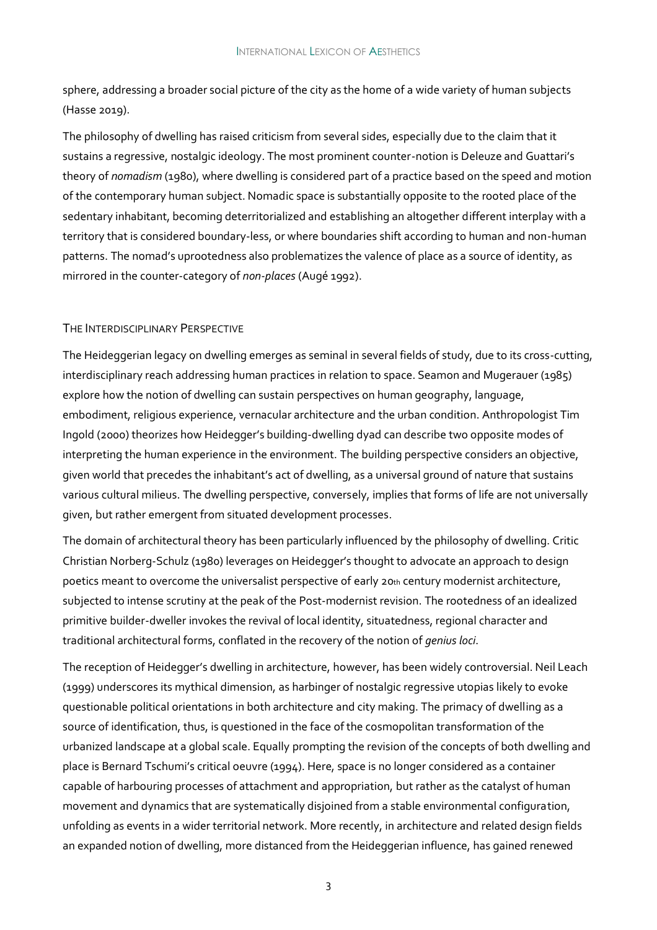sphere, addressing a broader social picture of the city as the home of a wide variety of human subjects (Hasse 2019).

The philosophy of dwelling has raised criticism from several sides, especially due to the claim that it sustains a regressive, nostalgic ideology. The most prominent counter-notion is Deleuze and Guattari's theory of *nomadism* (1980), where dwelling is considered part of a practice based on the speed and motion of the contemporary human subject. Nomadic space is substantially opposite to the rooted place of the sedentary inhabitant, becoming deterritorialized and establishing an altogether different interplay with a territory that is considered boundary-less, or where boundaries shift according to human and non-human patterns. The nomad's uprootedness also problematizes the valence of place as a source of identity, as mirrored in the counter-category of *non-places* (Augé 1992).

# THE INTERDISCIPLINARY PERSPECTIVE

The Heideggerian legacy on dwelling emerges as seminal in several fields of study, due to its cross-cutting, interdisciplinary reach addressing human practices in relation to space. Seamon and Mugerauer (1985) explore how the notion of dwelling can sustain perspectives on human geography, language, embodiment, religious experience, vernacular architecture and the urban condition. Anthropologist Tim Ingold (2000) theorizes how Heidegger's building-dwelling dyad can describe two opposite modes of interpreting the human experience in the environment. The building perspective considers an objective, given world that precedes the inhabitant's act of dwelling, as a universal ground of nature that sustains various cultural milieus. The dwelling perspective, conversely, implies that forms of life are not universally given, but rather emergent from situated development processes.

The domain of architectural theory has been particularly influenced by the philosophy of dwelling. Critic Christian Norberg-Schulz (1980) leverages on Heidegger's thought to advocate an approach to design poetics meant to overcome the universalist perspective of early 20th century modernist architecture, subjected to intense scrutiny at the peak of the Post-modernist revision. The rootedness of an idealized primitive builder-dweller invokes the revival of local identity, situatedness, regional character and traditional architectural forms, conflated in the recovery of the notion of *genius loci*.

The reception of Heidegger's dwelling in architecture, however, has been widely controversial. Neil Leach (1999) underscores its mythical dimension, as harbinger of nostalgic regressive utopias likely to evoke questionable political orientations in both architecture and city making. The primacy of dwelling as a source of identification, thus, is questioned in the face of the cosmopolitan transformation of the urbanized landscape at a global scale. Equally prompting the revision of the concepts of both dwelling and place is Bernard Tschumi's critical oeuvre (1994). Here, space is no longer considered as a container capable of harbouring processes of attachment and appropriation, but rather as the catalyst of human movement and dynamics that are systematically disjoined from a stable environmental configuration, unfolding as events in a wider territorial network. More recently, in architecture and related design fields an expanded notion of dwelling, more distanced from the Heideggerian influence, has gained renewed

3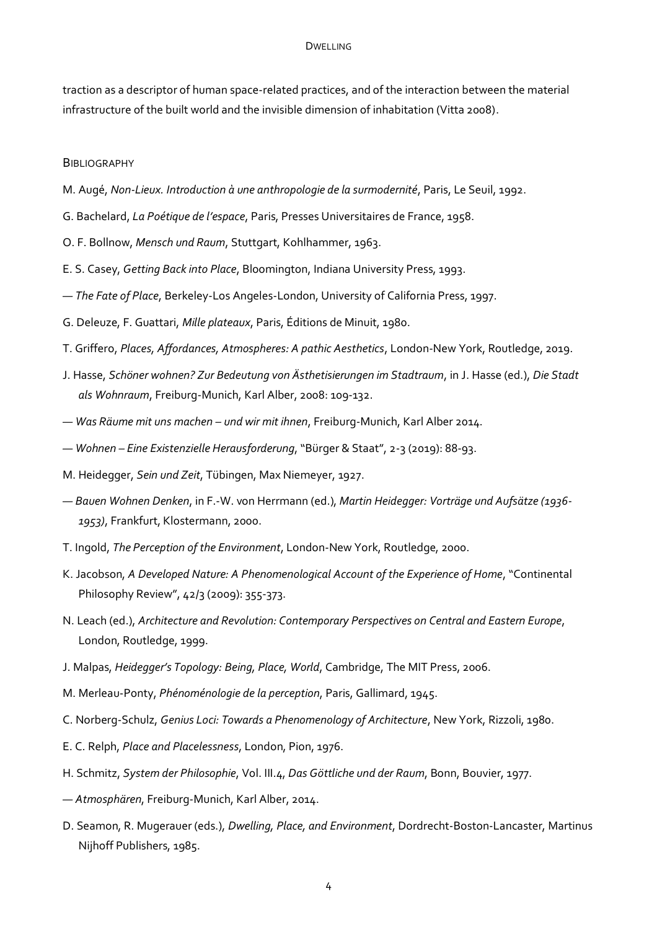#### DWELLING

traction as a descriptor of human space-related practices, and of the interaction between the material infrastructure of the built world and the invisible dimension of inhabitation (Vitta 2008).

#### **BIBLIOGRAPHY**

- M. Augé, *Non-Lieux. Introduction à une anthropologie de la surmodernité*, Paris, Le Seuil, 1992.
- G. Bachelard, *La Poétique de l'espace*, Paris, Presses Universitaires de France, 1958.
- O. F. Bollnow, *Mensch und Raum*, Stuttgart, Kohlhammer, 1963.
- E. S. Casey, *Getting Back into Place*, Bloomington, Indiana University Press, 1993.
- *— The Fate of Place*, Berkeley-Los Angeles-London, University of California Press, 1997.
- G. Deleuze, F. Guattari, *Mille plateaux*, Paris, Éditions de Minuit, 1980.
- T. Griffero, *Places, Affordances, Atmospheres: A pathic Aesthetics*, London-New York, Routledge, 2019.
- J. Hasse, *Schöner wohnen? Zur Bedeutung von Ästhetisierungen im Stadtraum*, in J. Hasse (ed.), *Die Stadt als Wohnraum*, Freiburg-Munich, Karl Alber, 2008: 109-132.
- *— Was Räume mit uns machen – und wir mit ihnen*, Freiburg-Munich, Karl Alber 2014.
- *— Wohnen – Eine Existenzielle Herausforderung*, "Bürger & Staat", 2-3 (2019): 88-93.
- M. Heidegger, *Sein und Zeit*, Tübingen, Max Niemeyer, 1927.
- *— Bauen Wohnen Denken*, in F.-W. von Herrmann (ed.), *Martin Heidegger: Vorträge und Aufsätze (1936- 1953)*, Frankfurt, Klostermann, 2000.
- T. Ingold, *The Perception of the Environment*, London-New York, Routledge, 2000.
- K. Jacobson, *A Developed Nature: A Phenomenological Account of the Experience of Home*, "Continental Philosophy Review", 42/3 (2009): 355-373.
- N. Leach (ed.), *Architecture and Revolution: Contemporary Perspectives on Central and Eastern Europe*, London, Routledge, 1999.
- J. Malpas, *Heidegger's Topology: Being, Place, World*, Cambridge, The MIT Press, 2006.
- M. Merleau-Ponty, *Phénoménologie de la perception*, Paris, Gallimard, 1945.
- C. Norberg-Schulz, *Genius Loci: Towards a Phenomenology of Architecture*, New York, Rizzoli, 1980.
- E. C. Relph, *Place and Placelessness*, London, Pion, 1976.
- H. Schmitz, *System der Philosophie*, Vol. III.4, *Das Göttliche und der Raum*, Bonn, Bouvier, 1977.
- *— Atmosphären*, Freiburg-Munich, Karl Alber, 2014.
- D. Seamon, R. Mugerauer (eds.), *Dwelling, Place, and Environment*, Dordrecht-Boston-Lancaster, Martinus Nijhoff Publishers, 1985.